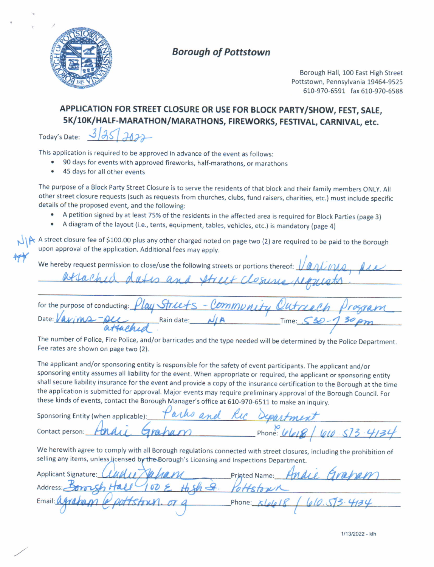

# Borough of Poftstown

Borough Hall, 100 East High Street Pottstown, Pennsylvania 19464-9525 610-970-6591 fax 510-970-6588

# APPLICATION FOR STREET CLOSURE OR USE FOR BLOCK PARTY/SHOW, FEST, SALE, 5K/lOK/HAIF.MARATHON/MARATHONS, FIREWORKS, FESTIVAI, CARNIVAL, etc.

Today's Date:  $3/35/702$ 

This application is required to be approved in advance of the event as follows:

- 90 days for events with approved fireworks, half-marathons, or marathons<br>● 45 days for all other events
- 45 days for all other events

The purpose of a Block Party Street Closure is to serve the residents of that block and their familv members oNLy. All other street closure requests (such as requests from churches, clubs, fund raisers, charities, etc.) must include specific details of the proposed event, and the following:

- A petition signed by at least 75% of the residents in the affected area is required for Block Parties (page 3)<br>• A diagram of the layout (i.e., tents, equipment, tables, which a star) is mandatemy (near 4)
- . A diagram ot the layout (i.e., tents, equipment, tables, vehicles, etc.) is mandatory (page 4)

 $\bigcup_{n=1}^{\infty}$  A street closure fee of \$100.00 plus any other charged noted on page two (2) are required to be paid to the Borough upon approval of the application. Additional fees may apply. w

We hereby request permission to close/use the following streets or portions thereof:

for the purpose of conducting: Time:  $530 - 130$ p Date: Rain date: /

The number of Police, Fire Police, and/or barricades and the type needed will be determined by the Police Department.<br>— Fee rates are shown on page two (2).

The applicant and/or sponsoring entity is responsible for the safety of event participants. The applicant and/or sponsoring entity assumes all liability for the event. when appropriate or required, the applicant or sponsoring entity shall secure liability insurance for the event and provide a copy of the insurance certification to the Borough at the time the application is submitted for approval. Major events may require preliminary approval of the Borough Council. For these kinds of events, contact the Borough Manager's office at 610-970-6511 to make an inquiry.

| Sponsoring Entity (when applicable): | Parks and Ric Separtment |  |
|--------------------------------------|--------------------------|--|
| contact person: Hardy Graham         | Phone: $468/60.573.4134$ |  |

We herewith agree to comply with all Borough regulations connected with street closures, including the prohibition of selling any items, unless licensed by the Borough's Licensing and Inspections Department.

Name: Andie Grapam **Applicant Signature:** Address: Email: Phone: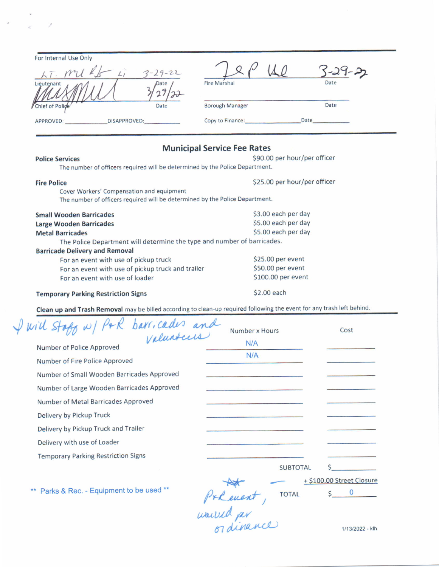| For Internal Use Only<br>$\frac{1}{2}$<br>Lieutenant | $3 - 29 - 22$<br>Date | <b>Fire Marshal</b>    | $-29 - 22$<br>Date |
|------------------------------------------------------|-----------------------|------------------------|--------------------|
| Chief of Police                                      | Date                  | <b>Borough Manager</b> | Date               |
| <b>DISAPPROVED:</b><br>APPROVED:                     |                       | Copy to Finance:       | Date               |

 $\rightarrow$   $\sim$   $\sim$   $>$   $>$ 

## Municipal Service Fee Rates

| <b>IVIUIIICIDAI SEI VICE FEE NATES</b>                                       |  |  |  |  |
|------------------------------------------------------------------------------|--|--|--|--|
| \$90.00 per hour/per officer                                                 |  |  |  |  |
| The number of officers required will be determined by the Police Department. |  |  |  |  |
| \$25.00 per hour/per officer                                                 |  |  |  |  |
|                                                                              |  |  |  |  |
| The number of officers required will be determined by the Police Department. |  |  |  |  |
| \$3.00 each per day                                                          |  |  |  |  |
| \$5.00 each per day                                                          |  |  |  |  |
| \$5.00 each per day                                                          |  |  |  |  |
| The Police Department will determine the type and number of barricades.      |  |  |  |  |
|                                                                              |  |  |  |  |
| \$25.00 per event                                                            |  |  |  |  |
| \$50.00 per event                                                            |  |  |  |  |
| \$100.00 per event                                                           |  |  |  |  |
| \$2.00 each                                                                  |  |  |  |  |
|                                                                              |  |  |  |  |

Clean up and Trash Removal may be billed according to clean-up required following the event for any trash left behind.

| of w/ P+R barricades and<br>will s         | Number x Hours  | Cost                      |
|--------------------------------------------|-----------------|---------------------------|
| Number of Police Approved                  | N/A             |                           |
| Number of Fire Police Approved             | N/A             |                           |
| Number of Small Wooden Barricades Approved |                 |                           |
| Number of Large Wooden Barricades Approved |                 |                           |
| Number of Metal Barricades Approved        |                 |                           |
| Delivery by Pickup Truck                   |                 |                           |
| Delivery by Pickup Truck and Trailer       |                 |                           |
| Delivery with use of Loader                |                 |                           |
| <b>Temporary Parking Restriction Signs</b> |                 |                           |
|                                            | <b>SUBTOTAL</b> |                           |
|                                            |                 | + \$100.00 Street Closure |
| ** Parks & Rec. - Equipment to be used **  | <b>TOTAL</b>    |                           |
|                                            |                 |                           |

would per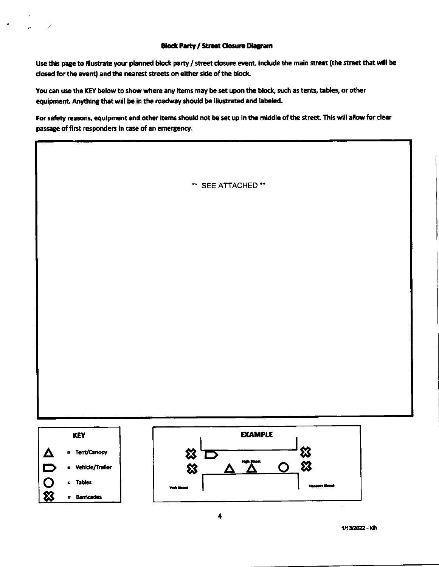### **Block Party / Street Closure Diagram**

Use this page to illustrate your planned block party / street closure event. Include the main street (the street that will be closed for the event) and the nearest streets on either side of the block.

You can use the KEY below to show where any items may be set upon the block, such as tents, tables, or other equipment. Anything that will be in the roadway should be illustrated and labeled.

For safety reasons, equipment and other items should not be set up in the middle of the street. This will allow for clear passage of first responders in case of an emergency.

\*\* SEE ATTACHED \*\*



1/13/2022 - kth